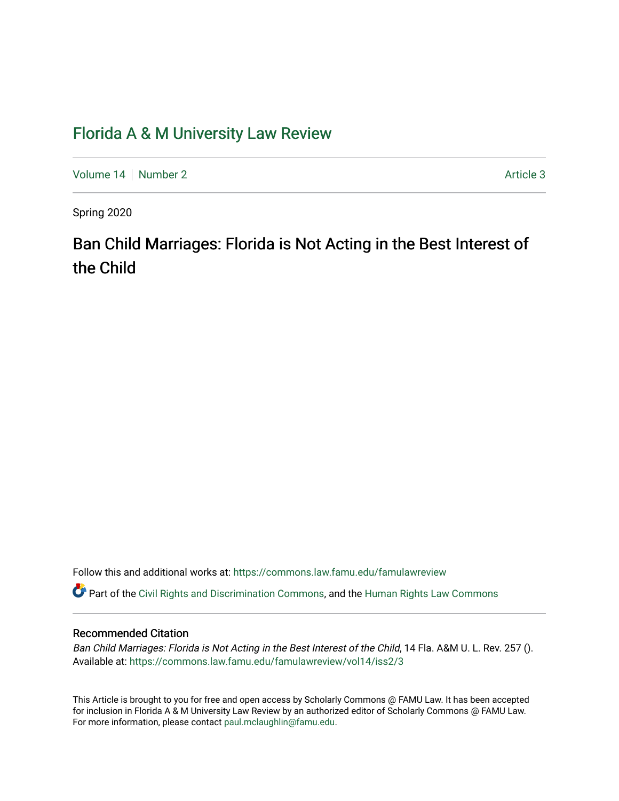### [Florida A & M University Law Review](https://commons.law.famu.edu/famulawreview)

[Volume 14](https://commons.law.famu.edu/famulawreview/vol14) | [Number 2](https://commons.law.famu.edu/famulawreview/vol14/iss2) Article 3

Spring 2020

# Ban Child Marriages: Florida is Not Acting in the Best Interest of the Child

Follow this and additional works at: [https://commons.law.famu.edu/famulawreview](https://commons.law.famu.edu/famulawreview?utm_source=commons.law.famu.edu%2Ffamulawreview%2Fvol14%2Fiss2%2F3&utm_medium=PDF&utm_campaign=PDFCoverPages) 

Part of the [Civil Rights and Discrimination Commons,](http://network.bepress.com/hgg/discipline/585?utm_source=commons.law.famu.edu%2Ffamulawreview%2Fvol14%2Fiss2%2F3&utm_medium=PDF&utm_campaign=PDFCoverPages) and the [Human Rights Law Commons](http://network.bepress.com/hgg/discipline/847?utm_source=commons.law.famu.edu%2Ffamulawreview%2Fvol14%2Fiss2%2F3&utm_medium=PDF&utm_campaign=PDFCoverPages)

#### Recommended Citation

Ban Child Marriages: Florida is Not Acting in the Best Interest of the Child, 14 Fla. A&M U. L. Rev. 257 (). Available at: [https://commons.law.famu.edu/famulawreview/vol14/iss2/3](https://commons.law.famu.edu/famulawreview/vol14/iss2/3?utm_source=commons.law.famu.edu%2Ffamulawreview%2Fvol14%2Fiss2%2F3&utm_medium=PDF&utm_campaign=PDFCoverPages)

This Article is brought to you for free and open access by Scholarly Commons @ FAMU Law. It has been accepted for inclusion in Florida A & M University Law Review by an authorized editor of Scholarly Commons @ FAMU Law. For more information, please contact [paul.mclaughlin@famu.edu](mailto:paul.mclaughlin@famu.edu).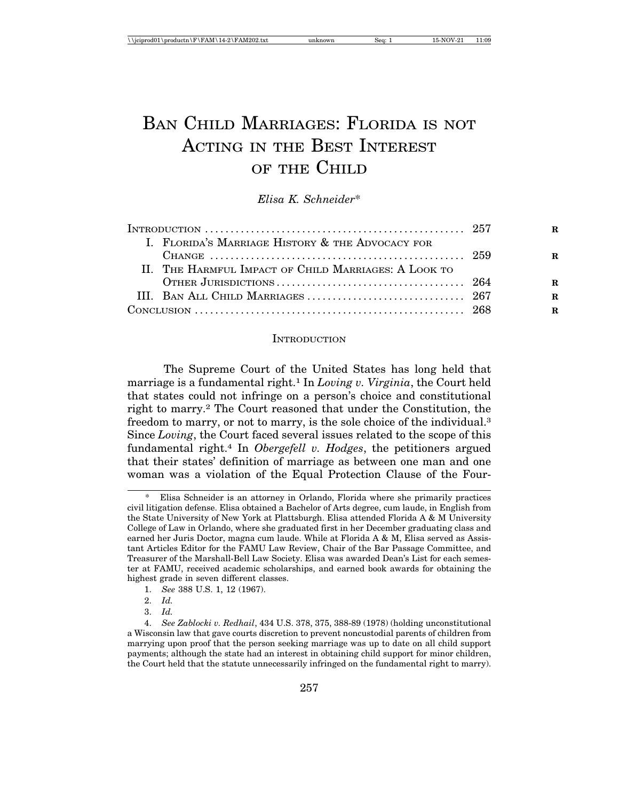## BAN CHILD MARRIAGES: FLORIDA IS NOT ACTING IN THE BEST INTEREST OF THE CHILD

*Elisa K. Schneider*\*

|                                                      | R           |
|------------------------------------------------------|-------------|
| I. FLORIDA'S MARRIAGE HISTORY & THE ADVOCACY FOR     |             |
|                                                      | R           |
| II. THE HARMFUL IMPACT OF CHILD MARRIAGES: A LOOK TO |             |
|                                                      | R           |
|                                                      | R           |
|                                                      | $\mathbf R$ |

#### **INTRODUCTION**

The Supreme Court of the United States has long held that marriage is a fundamental right.1 In *Loving v. Virginia*, the Court held that states could not infringe on a person's choice and constitutional right to marry.2 The Court reasoned that under the Constitution, the freedom to marry, or not to marry, is the sole choice of the individual.3 Since *Loving*, the Court faced several issues related to the scope of this fundamental right.4 In *Obergefell v. Hodges*, the petitioners argued that their states' definition of marriage as between one man and one woman was a violation of the Equal Protection Clause of the Four-

- 1. *See* 388 U.S. 1, 12 (1967).
- 2. *Id.*
- 3. *Id.*

<sup>\*</sup> Elisa Schneider is an attorney in Orlando, Florida where she primarily practices civil litigation defense. Elisa obtained a Bachelor of Arts degree, cum laude, in English from the State University of New York at Plattsburgh. Elisa attended Florida A & M University College of Law in Orlando, where she graduated first in her December graduating class and earned her Juris Doctor, magna cum laude. While at Florida A & M, Elisa served as Assistant Articles Editor for the FAMU Law Review, Chair of the Bar Passage Committee, and Treasurer of the Marshall-Bell Law Society. Elisa was awarded Dean's List for each semester at FAMU, received academic scholarships, and earned book awards for obtaining the highest grade in seven different classes.

<sup>4.</sup> *See Zablocki v. Redhail*, 434 U.S. 378, 375, 388-89 (1978) (holding unconstitutional a Wisconsin law that gave courts discretion to prevent noncustodial parents of children from marrying upon proof that the person seeking marriage was up to date on all child support payments; although the state had an interest in obtaining child support for minor children, the Court held that the statute unnecessarily infringed on the fundamental right to marry).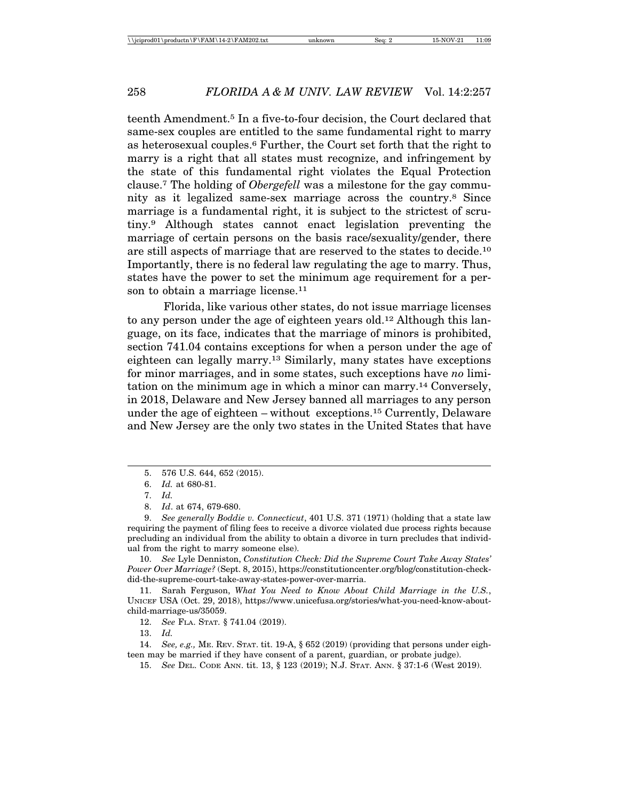teenth Amendment.5 In a five-to-four decision, the Court declared that same-sex couples are entitled to the same fundamental right to marry as heterosexual couples.6 Further, the Court set forth that the right to marry is a right that all states must recognize, and infringement by the state of this fundamental right violates the Equal Protection clause.7 The holding of *Obergefell* was a milestone for the gay community as it legalized same-sex marriage across the country.8 Since marriage is a fundamental right, it is subject to the strictest of scrutiny.9 Although states cannot enact legislation preventing the marriage of certain persons on the basis race/sexuality/gender, there are still aspects of marriage that are reserved to the states to decide.10 Importantly, there is no federal law regulating the age to marry. Thus, states have the power to set the minimum age requirement for a person to obtain a marriage license.<sup>11</sup>

Florida, like various other states, do not issue marriage licenses to any person under the age of eighteen years old.12 Although this language, on its face, indicates that the marriage of minors is prohibited, section 741.04 contains exceptions for when a person under the age of eighteen can legally marry.13 Similarly, many states have exceptions for minor marriages, and in some states, such exceptions have *no* limitation on the minimum age in which a minor can marry.14 Conversely, in 2018, Delaware and New Jersey banned all marriages to any person under the age of eighteen – without exceptions.15 Currently, Delaware and New Jersey are the only two states in the United States that have

10. *See* Lyle Denniston, *Constitution Check: Did the Supreme Court Take Away States' Power Over Marriage?* (Sept. 8, 2015), https://constitutioncenter.org/blog/constitution-checkdid-the-supreme-court-take-away-states-power-over-marria.

11. Sarah Ferguson, *What You Need to Know About Child Marriage in the U.S.*, UNICEF USA (Oct. 29, 2018), https://www.unicefusa.org/stories/what-you-need-know-aboutchild-marriage-us/35059.

12. *See* FLA. STAT. § 741.04 (2019).

13. *Id.*

14. *See, e.g.,* ME. REV. STAT. tit. 19-A, § 652 (2019) (providing that persons under eighteen may be married if they have consent of a parent, guardian, or probate judge).

15. *See* DEL. CODE ANN. tit. 13, § 123 (2019); N.J. STAT. ANN. § 37:1-6 (West 2019).

<sup>5. 576</sup> U.S. 644, 652 (2015).

<sup>6.</sup> *Id.* at 680-81.

<sup>7.</sup> *Id.*

<sup>8.</sup> *Id*. at 674, 679-680.

<sup>9.</sup> *See generally Boddie v. Connecticut*, 401 U.S. 371 (1971) (holding that a state law requiring the payment of filing fees to receive a divorce violated due process rights because precluding an individual from the ability to obtain a divorce in turn precludes that individual from the right to marry someone else).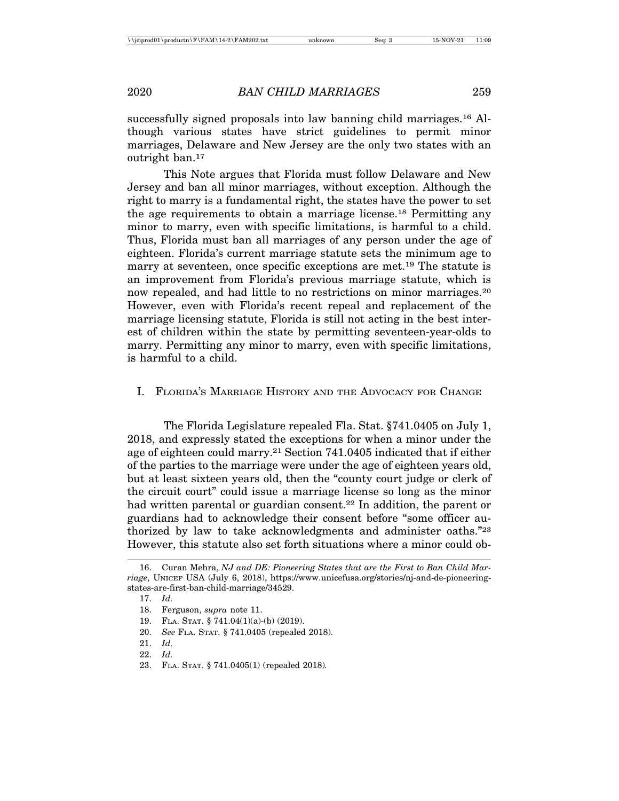successfully signed proposals into law banning child marriages.16 Although various states have strict guidelines to permit minor marriages, Delaware and New Jersey are the only two states with an outright ban.17

This Note argues that Florida must follow Delaware and New Jersey and ban all minor marriages, without exception. Although the right to marry is a fundamental right, the states have the power to set the age requirements to obtain a marriage license.18 Permitting any minor to marry, even with specific limitations, is harmful to a child. Thus, Florida must ban all marriages of any person under the age of eighteen. Florida's current marriage statute sets the minimum age to marry at seventeen, once specific exceptions are met.19 The statute is an improvement from Florida's previous marriage statute, which is now repealed, and had little to no restrictions on minor marriages.<sup>20</sup> However, even with Florida's recent repeal and replacement of the marriage licensing statute, Florida is still not acting in the best interest of children within the state by permitting seventeen-year-olds to marry. Permitting any minor to marry, even with specific limitations, is harmful to a child.

#### I. FLORIDA'S MARRIAGE HISTORY AND THE ADVOCACY FOR CHANGE

The Florida Legislature repealed Fla. Stat. §741.0405 on July 1, 2018, and expressly stated the exceptions for when a minor under the age of eighteen could marry.21 Section 741.0405 indicated that if either of the parties to the marriage were under the age of eighteen years old, but at least sixteen years old, then the "county court judge or clerk of the circuit court" could issue a marriage license so long as the minor had written parental or guardian consent.<sup>22</sup> In addition, the parent or guardians had to acknowledge their consent before "some officer authorized by law to take acknowledgments and administer oaths."23 However, this statute also set forth situations where a minor could ob-

<sup>16.</sup> Curan Mehra, *NJ and DE: Pioneering States that are the First to Ban Child Marriage*, UNICEF USA (July 6, 2018), https://www.unicefusa.org/stories/nj-and-de-pioneeringstates-are-first-ban-child-marriage/34529.

<sup>17.</sup> *Id.*

<sup>18.</sup> Ferguson, *supra* note 11.

<sup>19.</sup> FLA. STAT. § 741.04(1)(a)-(b) (2019).

<sup>20.</sup> *See* FLA. STAT. § 741.0405 (repealed 2018).

<sup>21.</sup> *Id.*

<sup>22.</sup> *Id.*

<sup>23.</sup> FLA. STAT. § 741.0405(1) (repealed 2018)*.*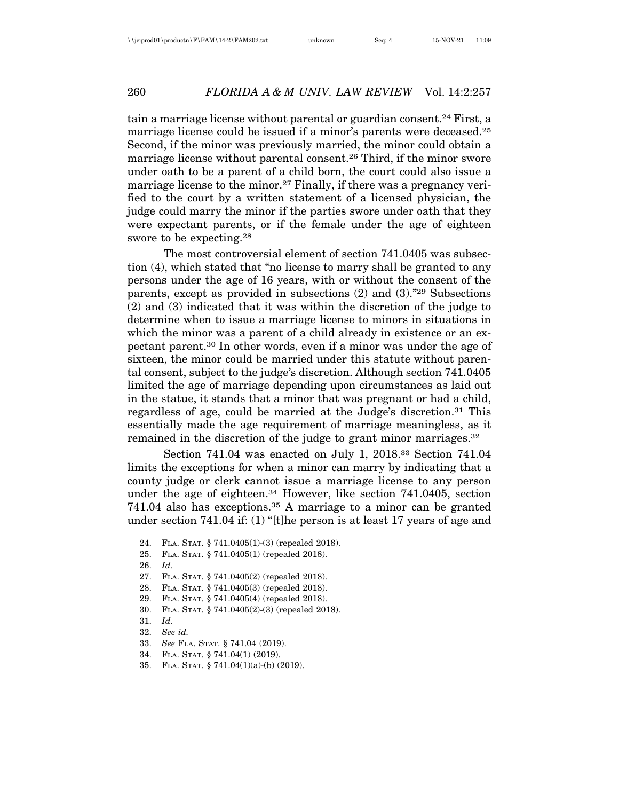tain a marriage license without parental or guardian consent.24 First, a marriage license could be issued if a minor's parents were deceased.25 Second, if the minor was previously married, the minor could obtain a marriage license without parental consent.26 Third, if the minor swore under oath to be a parent of a child born, the court could also issue a marriage license to the minor.27 Finally, if there was a pregnancy verified to the court by a written statement of a licensed physician, the judge could marry the minor if the parties swore under oath that they were expectant parents, or if the female under the age of eighteen swore to be expecting.28

The most controversial element of section 741.0405 was subsection (4), which stated that "no license to marry shall be granted to any persons under the age of 16 years, with or without the consent of the parents, except as provided in subsections (2) and (3)."29 Subsections (2) and (3) indicated that it was within the discretion of the judge to determine when to issue a marriage license to minors in situations in which the minor was a parent of a child already in existence or an expectant parent.30 In other words, even if a minor was under the age of sixteen, the minor could be married under this statute without parental consent, subject to the judge's discretion. Although section 741.0405 limited the age of marriage depending upon circumstances as laid out in the statue, it stands that a minor that was pregnant or had a child, regardless of age, could be married at the Judge's discretion.31 This essentially made the age requirement of marriage meaningless, as it remained in the discretion of the judge to grant minor marriages.32

Section 741.04 was enacted on July 1, 2018.33 Section 741.04 limits the exceptions for when a minor can marry by indicating that a county judge or clerk cannot issue a marriage license to any person under the age of eighteen.<sup>34</sup> However, like section 741.0405, section 741.04 also has exceptions.35 A marriage to a minor can be granted under section 741.04 if: (1) "[t]he person is at least 17 years of age and

26. *Id.*

- 31. *Id.*
- 32. *See id.*

<sup>24.</sup> FLA. STAT. § 741.0405(1)-(3) (repealed 2018).

<sup>25.</sup> FLA. STAT. § 741.0405(1) (repealed 2018).

<sup>27.</sup> FLA. STAT. § 741.0405(2) (repealed 2018).

<sup>28.</sup> FLA. STAT. § 741.0405(3) (repealed 2018).

<sup>29.</sup> FLA. STAT. § 741.0405(4) (repealed 2018).

<sup>30.</sup> FLA. STAT. § 741.0405(2)-(3) (repealed 2018).

<sup>33.</sup> *See* FLA. STAT. § 741.04 (2019).

<sup>34.</sup> FLA. STAT. § 741.04(1) (2019).

<sup>35.</sup> FLA. STAT. § 741.04(1)(a)-(b) (2019).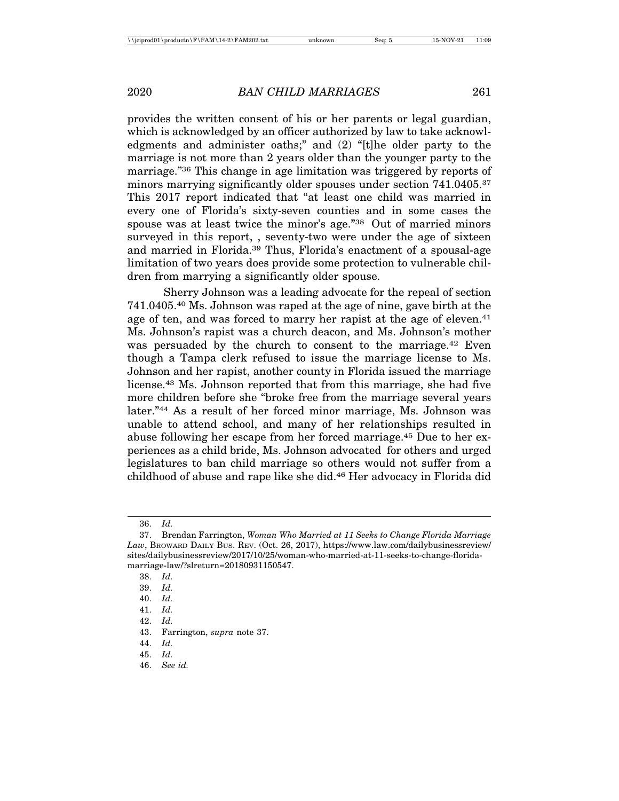provides the written consent of his or her parents or legal guardian, which is acknowledged by an officer authorized by law to take acknowledgments and administer oaths;" and (2) "[t]he older party to the marriage is not more than 2 years older than the younger party to the marriage."36 This change in age limitation was triggered by reports of minors marrying significantly older spouses under section 741.0405.<sup>37</sup> This 2017 report indicated that "at least one child was married in every one of Florida's sixty-seven counties and in some cases the spouse was at least twice the minor's age."38 Out of married minors surveyed in this report, , seventy-two were under the age of sixteen and married in Florida.39 Thus, Florida's enactment of a spousal-age limitation of two years does provide some protection to vulnerable children from marrying a significantly older spouse.

Sherry Johnson was a leading advocate for the repeal of section 741.0405.40 Ms. Johnson was raped at the age of nine, gave birth at the age of ten, and was forced to marry her rapist at the age of eleven.<sup>41</sup> Ms. Johnson's rapist was a church deacon, and Ms. Johnson's mother was persuaded by the church to consent to the marriage.<sup>42</sup> Even though a Tampa clerk refused to issue the marriage license to Ms. Johnson and her rapist, another county in Florida issued the marriage license.43 Ms. Johnson reported that from this marriage, she had five more children before she "broke free from the marriage several years later."44 As a result of her forced minor marriage, Ms. Johnson was unable to attend school, and many of her relationships resulted in abuse following her escape from her forced marriage.45 Due to her experiences as a child bride, Ms. Johnson advocated for others and urged legislatures to ban child marriage so others would not suffer from a childhood of abuse and rape like she did.46 Her advocacy in Florida did

<sup>36.</sup> *Id.*

<sup>37.</sup> Brendan Farrington, *Woman Who Married at 11 Seeks to Change Florida Marriage Law*, BROWARD DAILY BUS. REV. (Oct. 26, 2017), https://www.law.com/dailybusinessreview/ sites/dailybusinessreview/2017/10/25/woman-who-married-at-11-seeks-to-change-floridamarriage-law/?slreturn=20180931150547.

<sup>38.</sup> *Id.*

<sup>39.</sup> *Id.*

<sup>40.</sup> *Id.*

<sup>41.</sup> *Id.*

<sup>42.</sup> *Id.*

<sup>43.</sup> Farrington, *supra* note 37. 44. *Id.*

<sup>45.</sup> *Id.*

<sup>46.</sup> *See id.*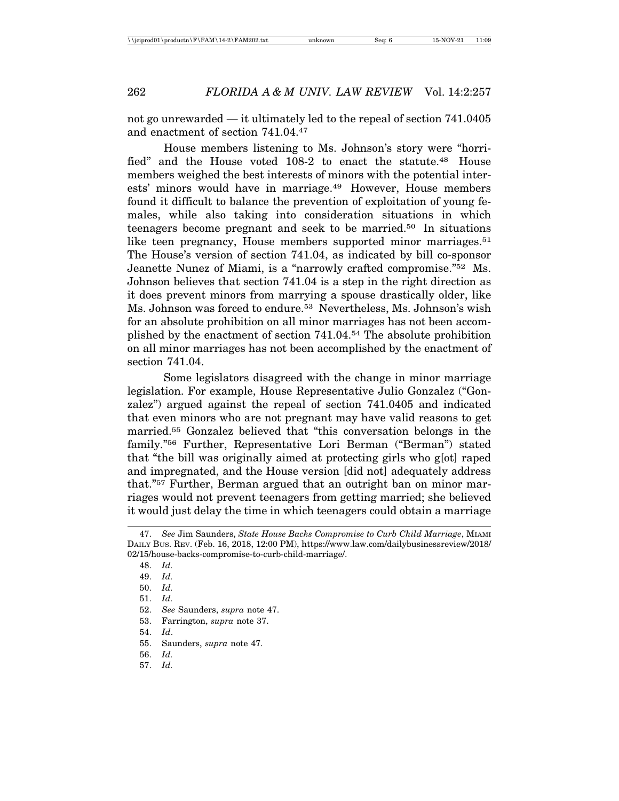not go unrewarded — it ultimately led to the repeal of section 741.0405 and enactment of section 741.04.47

House members listening to Ms. Johnson's story were "horrified" and the House voted 108-2 to enact the statute.<sup>48</sup> House members weighed the best interests of minors with the potential interests' minors would have in marriage.49 However, House members found it difficult to balance the prevention of exploitation of young females, while also taking into consideration situations in which teenagers become pregnant and seek to be married.50 In situations like teen pregnancy, House members supported minor marriages.<sup>51</sup> The House's version of section 741.04, as indicated by bill co-sponsor Jeanette Nunez of Miami, is a "narrowly crafted compromise."52 Ms. Johnson believes that section 741.04 is a step in the right direction as it does prevent minors from marrying a spouse drastically older, like Ms. Johnson was forced to endure.53 Nevertheless, Ms. Johnson's wish for an absolute prohibition on all minor marriages has not been accomplished by the enactment of section 741.04.54 The absolute prohibition on all minor marriages has not been accomplished by the enactment of section 741.04.

Some legislators disagreed with the change in minor marriage legislation. For example, House Representative Julio Gonzalez ("Gonzalez") argued against the repeal of section 741.0405 and indicated that even minors who are not pregnant may have valid reasons to get married.55 Gonzalez believed that "this conversation belongs in the family."56 Further, Representative Lori Berman ("Berman") stated that "the bill was originally aimed at protecting girls who g[ot] raped and impregnated, and the House version [did not] adequately address that."57 Further, Berman argued that an outright ban on minor marriages would not prevent teenagers from getting married; she believed it would just delay the time in which teenagers could obtain a marriage

57. *Id.*

<sup>47.</sup> *See* Jim Saunders, *State House Backs Compromise to Curb Child Marriage*, MIAMI DAILY BUS. REV. (Feb. 16, 2018, 12:00 PM), https://www.law.com/dailybusinessreview/2018/ 02/15/house-backs-compromise-to-curb-child-marriage/.

<sup>48.</sup> *Id.*

<sup>49.</sup> *Id.*

<sup>50.</sup> *Id.*

<sup>51.</sup> *Id.*

<sup>52.</sup> *See* Saunders, *supra* note 47.

<sup>53.</sup> Farrington, *supra* note 37.

<sup>54.</sup> *Id*.

<sup>55.</sup> Saunders, *supra* note 47.

<sup>56.</sup> *Id.*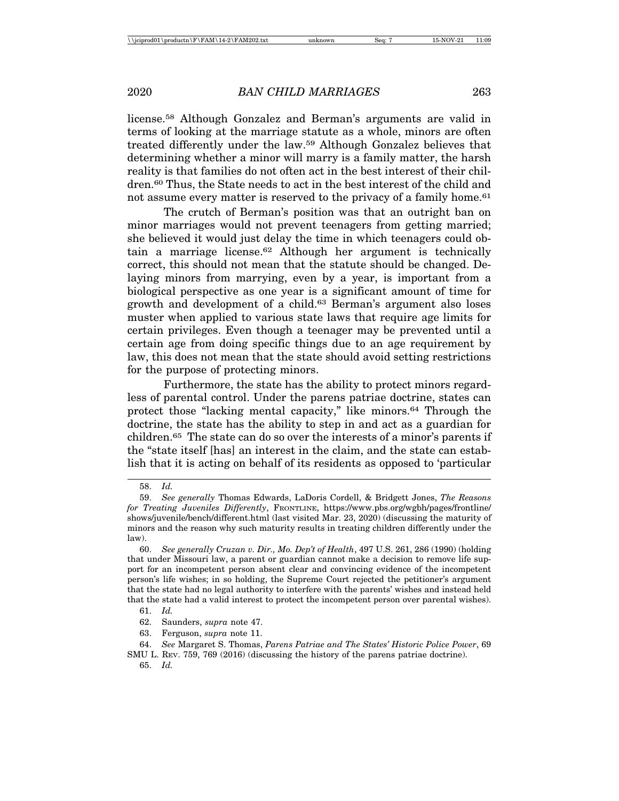license.58 Although Gonzalez and Berman's arguments are valid in terms of looking at the marriage statute as a whole, minors are often treated differently under the law.59 Although Gonzalez believes that determining whether a minor will marry is a family matter, the harsh reality is that families do not often act in the best interest of their children.60 Thus, the State needs to act in the best interest of the child and not assume every matter is reserved to the privacy of a family home.<sup>61</sup>

The crutch of Berman's position was that an outright ban on minor marriages would not prevent teenagers from getting married; she believed it would just delay the time in which teenagers could obtain a marriage license.62 Although her argument is technically correct, this should not mean that the statute should be changed. Delaying minors from marrying, even by a year, is important from a biological perspective as one year is a significant amount of time for growth and development of a child.63 Berman's argument also loses muster when applied to various state laws that require age limits for certain privileges. Even though a teenager may be prevented until a certain age from doing specific things due to an age requirement by law, this does not mean that the state should avoid setting restrictions for the purpose of protecting minors.

Furthermore, the state has the ability to protect minors regardless of parental control. Under the parens patriae doctrine, states can protect those "lacking mental capacity," like minors.64 Through the doctrine, the state has the ability to step in and act as a guardian for children.65 The state can do so over the interests of a minor's parents if the "state itself [has] an interest in the claim, and the state can establish that it is acting on behalf of its residents as opposed to 'particular

<sup>58.</sup> *Id.*

<sup>59.</sup> *See generally* Thomas Edwards, LaDoris Cordell, & Bridgett Jones, *The Reasons for Treating Juveniles Differently*, FRONTLINE, https://www.pbs.org/wgbh/pages/frontline/ shows/juvenile/bench/different.html (last visited Mar. 23, 2020) (discussing the maturity of minors and the reason why such maturity results in treating children differently under the law).

<sup>60.</sup> *See generally Cruzan v. Dir., Mo. Dep't of Health*, 497 U.S. 261, 286 (1990) (holding that under Missouri law, a parent or guardian cannot make a decision to remove life support for an incompetent person absent clear and convincing evidence of the incompetent person's life wishes; in so holding, the Supreme Court rejected the petitioner's argument that the state had no legal authority to interfere with the parents' wishes and instead held that the state had a valid interest to protect the incompetent person over parental wishes).

<sup>61.</sup> *Id.*

<sup>62.</sup> Saunders, *supra* note 47.

<sup>63.</sup> Ferguson, *supra* note 11.

<sup>64.</sup> *See* Margaret S. Thomas, *Parens Patriae and The States' Historic Police Power*, 69 SMU L. REV. 759, 769 (2016) (discussing the history of the parens patriae doctrine).

<sup>65.</sup> *Id.*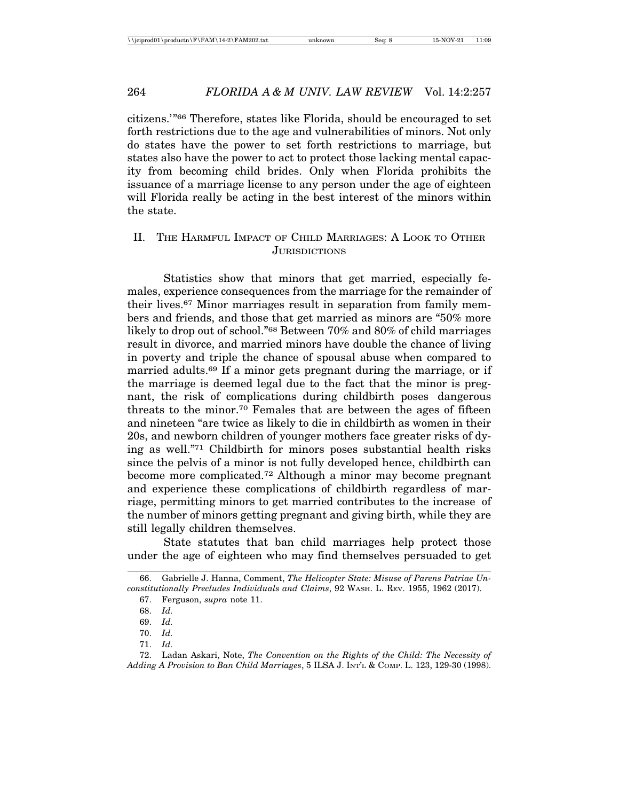citizens.'"66 Therefore, states like Florida, should be encouraged to set forth restrictions due to the age and vulnerabilities of minors. Not only do states have the power to set forth restrictions to marriage, but states also have the power to act to protect those lacking mental capacity from becoming child brides. Only when Florida prohibits the issuance of a marriage license to any person under the age of eighteen will Florida really be acting in the best interest of the minors within the state.

#### II. THE HARMFUL IMPACT OF CHILD MARRIAGES: A LOOK TO OTHER **JURISDICTIONS**

Statistics show that minors that get married, especially females, experience consequences from the marriage for the remainder of their lives.67 Minor marriages result in separation from family members and friends, and those that get married as minors are "50% more likely to drop out of school."68 Between 70% and 80% of child marriages result in divorce, and married minors have double the chance of living in poverty and triple the chance of spousal abuse when compared to married adults.69 If a minor gets pregnant during the marriage, or if the marriage is deemed legal due to the fact that the minor is pregnant, the risk of complications during childbirth poses dangerous threats to the minor.70 Females that are between the ages of fifteen and nineteen "are twice as likely to die in childbirth as women in their 20s, and newborn children of younger mothers face greater risks of dying as well."71 Childbirth for minors poses substantial health risks since the pelvis of a minor is not fully developed hence, childbirth can become more complicated.72 Although a minor may become pregnant and experience these complications of childbirth regardless of marriage, permitting minors to get married contributes to the increase of the number of minors getting pregnant and giving birth, while they are still legally children themselves.

State statutes that ban child marriages help protect those under the age of eighteen who may find themselves persuaded to get

<sup>66.</sup> Gabrielle J. Hanna, Comment, *The Helicopter State: Misuse of Parens Patriae Unconstitutionally Precludes Individuals and Claims*, 92 WASH. L. REV. 1955, 1962 (2017).

<sup>67.</sup> Ferguson, *supra* note 11.

<sup>68.</sup> *Id.*

<sup>69.</sup> *Id.*

<sup>70.</sup> *Id.*

<sup>71.</sup> *Id.*

<sup>72.</sup> Ladan Askari, Note, *The Convention on the Rights of the Child: The Necessity of Adding A Provision to Ban Child Marriages*, 5 ILSA J. INT'L & COMP. L. 123, 129-30 (1998).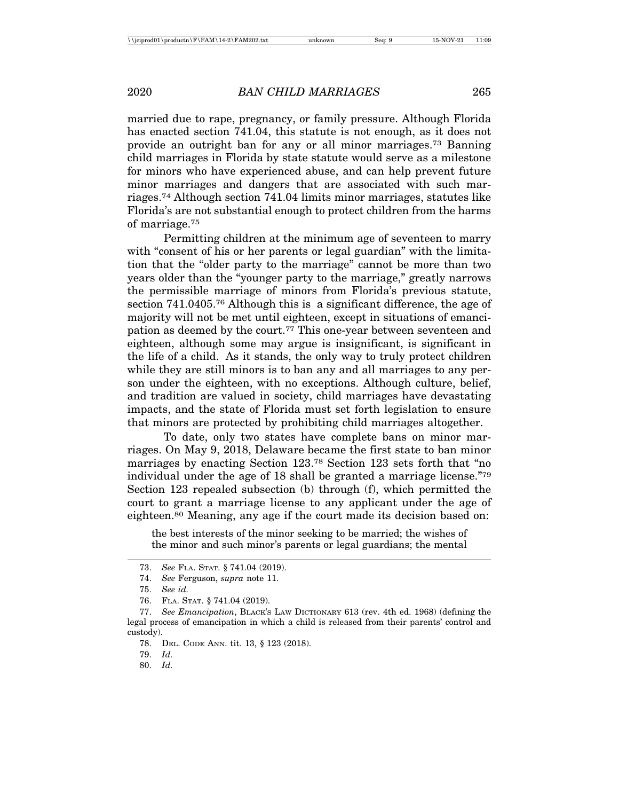married due to rape, pregnancy, or family pressure. Although Florida has enacted section 741.04, this statute is not enough, as it does not provide an outright ban for any or all minor marriages.73 Banning child marriages in Florida by state statute would serve as a milestone for minors who have experienced abuse, and can help prevent future minor marriages and dangers that are associated with such marriages.74 Although section 741.04 limits minor marriages, statutes like Florida's are not substantial enough to protect children from the harms of marriage.75

Permitting children at the minimum age of seventeen to marry with "consent of his or her parents or legal guardian" with the limitation that the "older party to the marriage" cannot be more than two years older than the "younger party to the marriage," greatly narrows the permissible marriage of minors from Florida's previous statute, section 741.0405.76 Although this is a significant difference, the age of majority will not be met until eighteen, except in situations of emancipation as deemed by the court.77 This one-year between seventeen and eighteen, although some may argue is insignificant, is significant in the life of a child. As it stands, the only way to truly protect children while they are still minors is to ban any and all marriages to any person under the eighteen, with no exceptions. Although culture, belief, and tradition are valued in society, child marriages have devastating impacts, and the state of Florida must set forth legislation to ensure that minors are protected by prohibiting child marriages altogether.

To date, only two states have complete bans on minor marriages. On May 9, 2018, Delaware became the first state to ban minor marriages by enacting Section 123.78 Section 123 sets forth that "no individual under the age of 18 shall be granted a marriage license."79 Section 123 repealed subsection (b) through (f), which permitted the court to grant a marriage license to any applicant under the age of eighteen.80 Meaning, any age if the court made its decision based on:

the best interests of the minor seeking to be married; the wishes of the minor and such minor's parents or legal guardians; the mental

<sup>73.</sup> *See* FLA. STAT. § 741.04 (2019).

<sup>74.</sup> *See* Ferguson, *supra* note 11.

<sup>75.</sup> *See id.*

<sup>76.</sup> FLA. STAT. § 741.04 (2019).

<sup>77.</sup> *See Emancipation*, BLACK'S LAW DICTIONARY 613 (rev. 4th ed. 1968) (defining the legal process of emancipation in which a child is released from their parents' control and custody).

<sup>78.</sup> DEL. CODE ANN. tit. 13, § 123 (2018).

<sup>79.</sup> *Id.*

<sup>80.</sup> *Id.*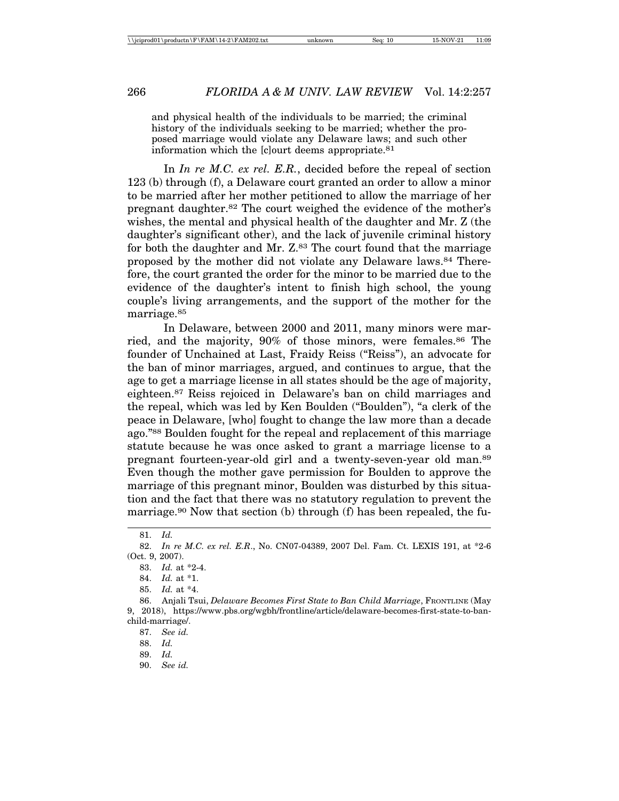and physical health of the individuals to be married; the criminal history of the individuals seeking to be married; whether the proposed marriage would violate any Delaware laws; and such other information which the [c]ourt deems appropriate.81

In *In re M.C. ex rel. E.R.*, decided before the repeal of section 123 (b) through (f), a Delaware court granted an order to allow a minor to be married after her mother petitioned to allow the marriage of her pregnant daughter.82 The court weighed the evidence of the mother's wishes, the mental and physical health of the daughter and Mr. Z (the daughter's significant other), and the lack of juvenile criminal history for both the daughter and Mr. Z<sup>83</sup> The court found that the marriage proposed by the mother did not violate any Delaware laws.84 Therefore, the court granted the order for the minor to be married due to the evidence of the daughter's intent to finish high school, the young couple's living arrangements, and the support of the mother for the marriage.<sup>85</sup>

In Delaware, between 2000 and 2011, many minors were married, and the majority, 90% of those minors, were females.86 The founder of Unchained at Last, Fraidy Reiss ("Reiss"), an advocate for the ban of minor marriages, argued, and continues to argue, that the age to get a marriage license in all states should be the age of majority, eighteen.87 Reiss rejoiced in Delaware's ban on child marriages and the repeal, which was led by Ken Boulden ("Boulden"), "a clerk of the peace in Delaware, [who] fought to change the law more than a decade ago."88 Boulden fought for the repeal and replacement of this marriage statute because he was once asked to grant a marriage license to a pregnant fourteen-year-old girl and a twenty-seven-year old man.89 Even though the mother gave permission for Boulden to approve the marriage of this pregnant minor, Boulden was disturbed by this situation and the fact that there was no statutory regulation to prevent the marriage.<sup>90</sup> Now that section (b) through (f) has been repealed, the fu-

90. *See id.*

<sup>81.</sup> *Id.*

<sup>82.</sup> *In re M.C. ex rel. E.R*., No. CN07-04389, 2007 Del. Fam. Ct. LEXIS 191, at \*2-6 (Oct. 9, 2007).

<sup>83.</sup> *Id.* at \*2-4.

<sup>84.</sup> *Id.* at \*1.

<sup>85.</sup> *Id.* at \*4.

<sup>86.</sup> Anjali Tsui, *Delaware Becomes First State to Ban Child Marriage*, FRONTLINE (May 9, 2018), https://www.pbs.org/wgbh/frontline/article/delaware-becomes-first-state-to-banchild-marriage/.

<sup>87.</sup> *See id.*

<sup>88.</sup> *Id.*

<sup>89.</sup> *Id.*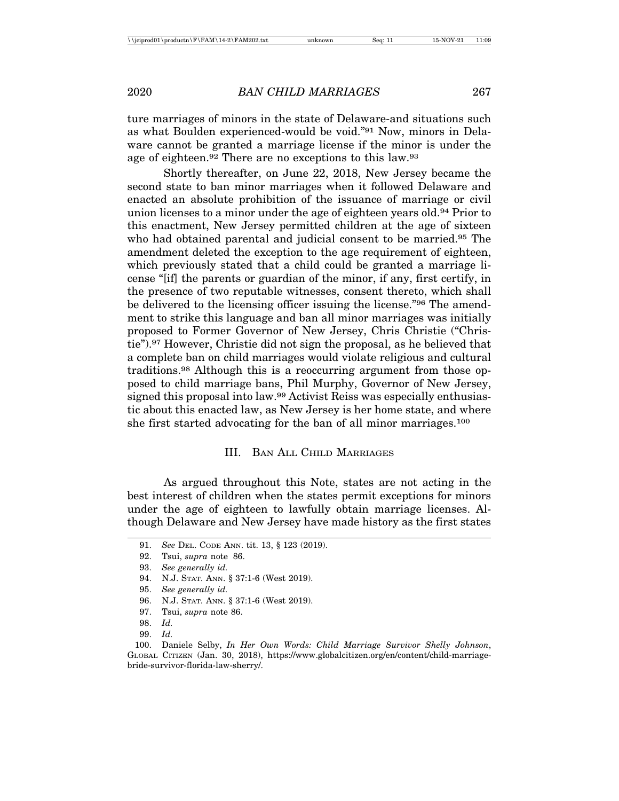ture marriages of minors in the state of Delaware-and situations such as what Boulden experienced-would be void."91 Now, minors in Delaware cannot be granted a marriage license if the minor is under the age of eighteen.92 There are no exceptions to this law.93

Shortly thereafter, on June 22, 2018, New Jersey became the second state to ban minor marriages when it followed Delaware and enacted an absolute prohibition of the issuance of marriage or civil union licenses to a minor under the age of eighteen years old.94 Prior to this enactment, New Jersey permitted children at the age of sixteen who had obtained parental and judicial consent to be married.<sup>95</sup> The amendment deleted the exception to the age requirement of eighteen, which previously stated that a child could be granted a marriage license "[if] the parents or guardian of the minor, if any, first certify, in the presence of two reputable witnesses, consent thereto, which shall be delivered to the licensing officer issuing the license."96 The amendment to strike this language and ban all minor marriages was initially proposed to Former Governor of New Jersey, Chris Christie ("Christie").97 However, Christie did not sign the proposal, as he believed that a complete ban on child marriages would violate religious and cultural traditions.98 Although this is a reoccurring argument from those opposed to child marriage bans, Phil Murphy, Governor of New Jersey, signed this proposal into law.99 Activist Reiss was especially enthusiastic about this enacted law, as New Jersey is her home state, and where she first started advocating for the ban of all minor marriages.100

#### III. BAN ALL CHILD MARRIAGES

As argued throughout this Note, states are not acting in the best interest of children when the states permit exceptions for minors under the age of eighteen to lawfully obtain marriage licenses. Although Delaware and New Jersey have made history as the first states

<sup>91.</sup> *See* DEL. CODE ANN. tit. 13, § 123 (2019).

<sup>92.</sup> Tsui, *supra* note 86.

<sup>93.</sup> *See generally id.*

<sup>94.</sup> N.J. STAT. ANN. § 37:1-6 (West 2019).

<sup>95.</sup> *See generally id.*

<sup>96.</sup> N.J. STAT. ANN. § 37:1-6 (West 2019).

<sup>97.</sup> Tsui, *supra* note 86.

<sup>98.</sup> *Id.*

<sup>99.</sup> *Id.*

<sup>100.</sup> Daniele Selby, *In Her Own Words: Child Marriage Survivor Shelly Johnson*, GLOBAL CITIZEN (Jan. 30, 2018), https://www.globalcitizen.org/en/content/child-marriagebride-survivor-florida-law-sherry/.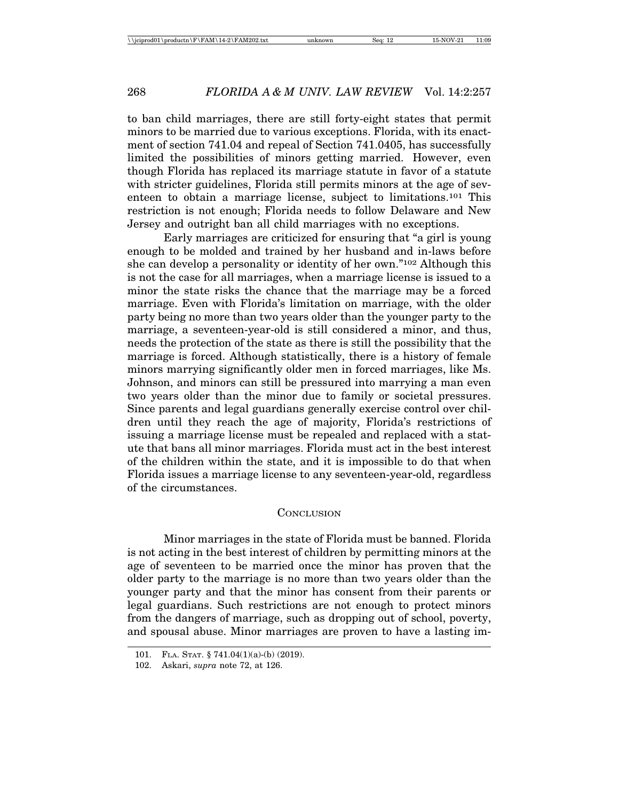to ban child marriages, there are still forty-eight states that permit minors to be married due to various exceptions. Florida, with its enactment of section 741.04 and repeal of Section 741.0405, has successfully limited the possibilities of minors getting married. However, even though Florida has replaced its marriage statute in favor of a statute with stricter guidelines, Florida still permits minors at the age of seventeen to obtain a marriage license, subject to limitations.101 This restriction is not enough; Florida needs to follow Delaware and New Jersey and outright ban all child marriages with no exceptions.

Early marriages are criticized for ensuring that "a girl is young enough to be molded and trained by her husband and in-laws before she can develop a personality or identity of her own."102 Although this is not the case for all marriages, when a marriage license is issued to a minor the state risks the chance that the marriage may be a forced marriage. Even with Florida's limitation on marriage, with the older party being no more than two years older than the younger party to the marriage, a seventeen-year-old is still considered a minor, and thus, needs the protection of the state as there is still the possibility that the marriage is forced. Although statistically, there is a history of female minors marrying significantly older men in forced marriages, like Ms. Johnson, and minors can still be pressured into marrying a man even two years older than the minor due to family or societal pressures. Since parents and legal guardians generally exercise control over children until they reach the age of majority, Florida's restrictions of issuing a marriage license must be repealed and replaced with a statute that bans all minor marriages. Florida must act in the best interest of the children within the state, and it is impossible to do that when Florida issues a marriage license to any seventeen-year-old, regardless of the circumstances.

#### **CONCLUSION**

Minor marriages in the state of Florida must be banned. Florida is not acting in the best interest of children by permitting minors at the age of seventeen to be married once the minor has proven that the older party to the marriage is no more than two years older than the younger party and that the minor has consent from their parents or legal guardians. Such restrictions are not enough to protect minors from the dangers of marriage, such as dropping out of school, poverty, and spousal abuse. Minor marriages are proven to have a lasting im-

<sup>101.</sup> FLA. STAT. § 741.04(1)(a)-(b) (2019).

<sup>102.</sup> Askari, *supra* note 72, at 126.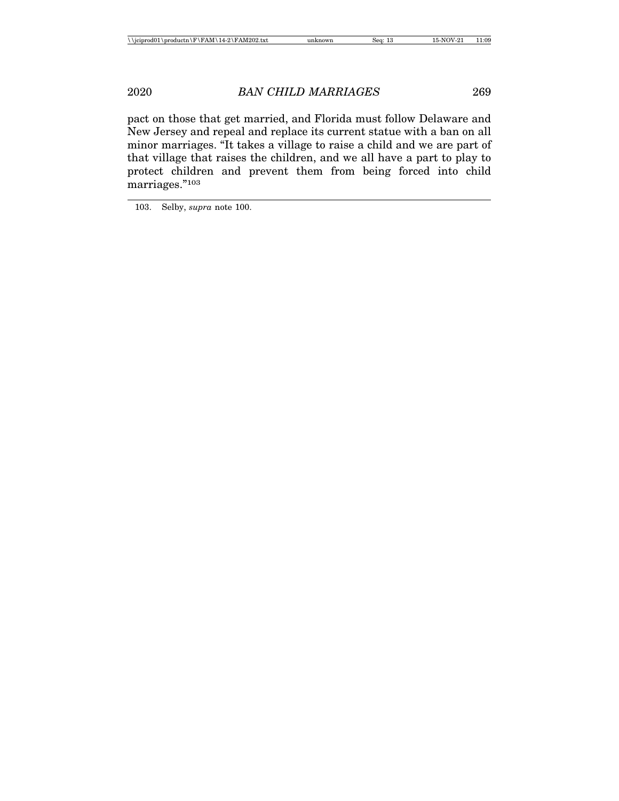pact on those that get married, and Florida must follow Delaware and New Jersey and repeal and replace its current statue with a ban on all minor marriages. "It takes a village to raise a child and we are part of that village that raises the children, and we all have a part to play to protect children and prevent them from being forced into child marriages."103

103. Selby, *supra* note 100.